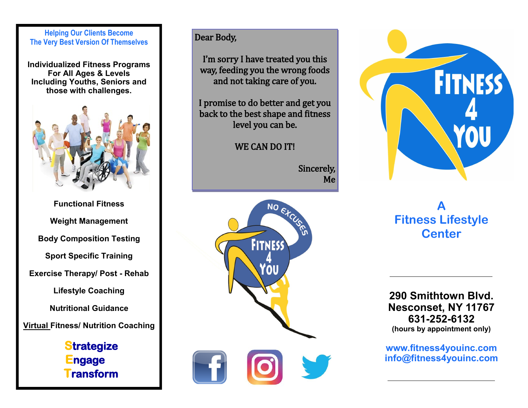#### **Helping Our Clients Become The Very Best Version Of Themselves**

**Individualized Fitness Programs For All Ages & Levels Including Youths, Seniors and those with challenges.**



**Functional Fitness Weight Management Body Composition Testing Sport Specific Training Exercise Therapy/ Post - Rehab Lifestyle Coaching Nutritional Guidance Virtual Fitness/ Nutrition Coaching**

# **Strategize ngage Transform**

### Dear Body,

I'm sorry I have treated you this way, feeding you the wrong foods and not taking care of you.

I promise to do better and get you back to the best shape and fitness level you can be.

### WE CAN DO IT!

Sincerely, Me





# **A Fitness Lifestyle Center**

**290 Smithtown Blvd. Nesconset, NY 11767 631-252-6132 (hours by appointment only)**

**www.fitness4youinc.com info@fitness4youinc.com**